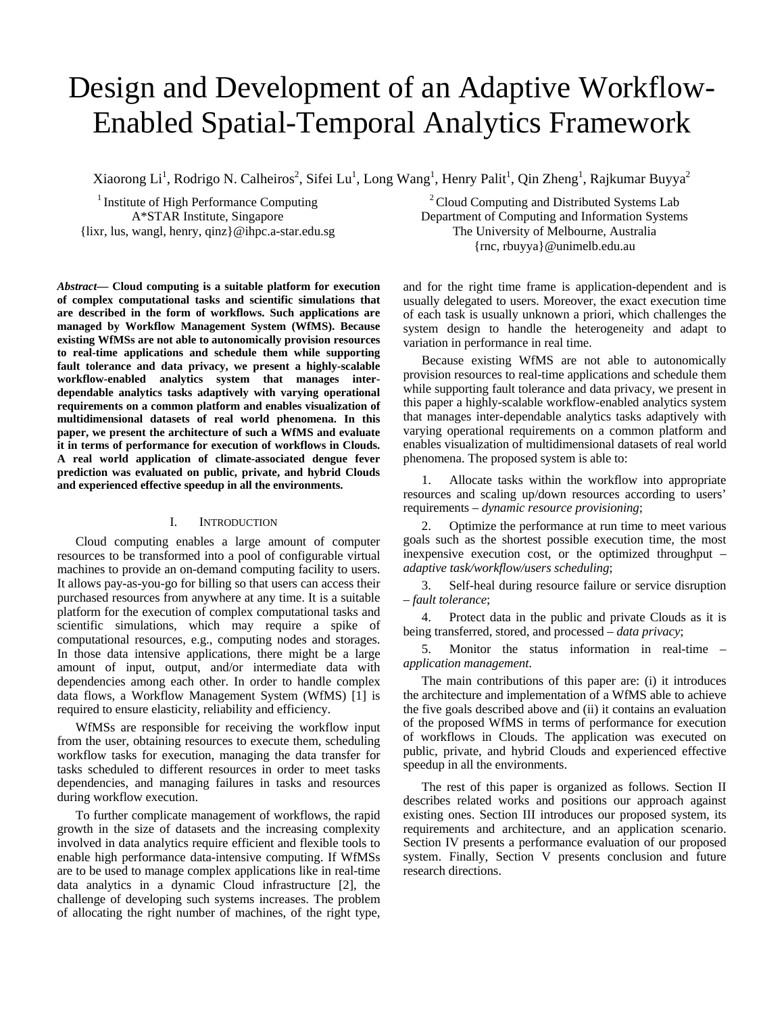# Design and Development of an Adaptive Workflow-Enabled Spatial-Temporal Analytics Framework

Xiaorong Li<sup>1</sup>, Rodrigo N. Calheiros<sup>2</sup>, Sifei Lu<sup>1</sup>, Long Wang<sup>1</sup>, Henry Palit<sup>1</sup>, Qin Zheng<sup>1</sup>, Rajkumar Buyya<sup>2</sup>

<sup>1</sup> Institute of High Performance Computing A\*STAR Institute, Singapore {lixr, lus, wangl, henry, qinz}@ihpc.a-star.edu.sg

*Abstract***— Cloud computing is a suitable platform for execution of complex computational tasks and scientific simulations that are described in the form of workflows. Such applications are managed by Workflow Management System (WfMS). Because existing WfMSs are not able to autonomically provision resources to real-time applications and schedule them while supporting fault tolerance and data privacy, we present a highly-scalable workflow-enabled analytics system that manages interdependable analytics tasks adaptively with varying operational requirements on a common platform and enables visualization of multidimensional datasets of real world phenomena. In this paper, we present the architecture of such a WfMS and evaluate it in terms of performance for execution of workflows in Clouds. A real world application of climate-associated dengue fever prediction was evaluated on public, private, and hybrid Clouds and experienced effective speedup in all the environments.** 

# I. INTRODUCTION

Cloud computing enables a large amount of computer resources to be transformed into a pool of configurable virtual machines to provide an on-demand computing facility to users. It allows pay-as-you-go for billing so that users can access their purchased resources from anywhere at any time. It is a suitable platform for the execution of complex computational tasks and scientific simulations, which may require a spike of computational resources, e.g., computing nodes and storages. In those data intensive applications, there might be a large amount of input, output, and/or intermediate data with dependencies among each other. In order to handle complex data flows, a Workflow Management System (WfMS) [1] is required to ensure elasticity, reliability and efficiency.

WfMSs are responsible for receiving the workflow input from the user, obtaining resources to execute them, scheduling workflow tasks for execution, managing the data transfer for tasks scheduled to different resources in order to meet tasks dependencies, and managing failures in tasks and resources during workflow execution.

To further complicate management of workflows, the rapid growth in the size of datasets and the increasing complexity involved in data analytics require efficient and flexible tools to enable high performance data-intensive computing. If WfMSs are to be used to manage complex applications like in real-time data analytics in a dynamic Cloud infrastructure [2], the challenge of developing such systems increases. The problem of allocating the right number of machines, of the right type,

<sup>2</sup> Cloud Computing and Distributed Systems Lab Department of Computing and Information Systems The University of Melbourne, Australia {rnc, rbuyya}@unimelb.edu.au

and for the right time frame is application-dependent and is usually delegated to users. Moreover, the exact execution time of each task is usually unknown a priori, which challenges the system design to handle the heterogeneity and adapt to variation in performance in real time.

Because existing WfMS are not able to autonomically provision resources to real-time applications and schedule them while supporting fault tolerance and data privacy, we present in this paper a highly-scalable workflow-enabled analytics system that manages inter-dependable analytics tasks adaptively with varying operational requirements on a common platform and enables visualization of multidimensional datasets of real world phenomena. The proposed system is able to:

1. Allocate tasks within the workflow into appropriate resources and scaling up/down resources according to users' requirements – *dynamic resource provisioning*;

2. Optimize the performance at run time to meet various goals such as the shortest possible execution time, the most inexpensive execution cost, or the optimized throughput – *adaptive task/workflow/users scheduling*;

3. Self-heal during resource failure or service disruption – *fault tolerance*;

4. Protect data in the public and private Clouds as it is being transferred, stored, and processed – *data privacy*;

5. Monitor the status information in real-time – *application management*.

The main contributions of this paper are: (i) it introduces the architecture and implementation of a WfMS able to achieve the five goals described above and (ii) it contains an evaluation of the proposed WfMS in terms of performance for execution of workflows in Clouds. The application was executed on public, private, and hybrid Clouds and experienced effective speedup in all the environments.

The rest of this paper is organized as follows. Section II describes related works and positions our approach against existing ones. Section III introduces our proposed system, its requirements and architecture, and an application scenario. Section IV presents a performance evaluation of our proposed system. Finally, Section V presents conclusion and future research directions.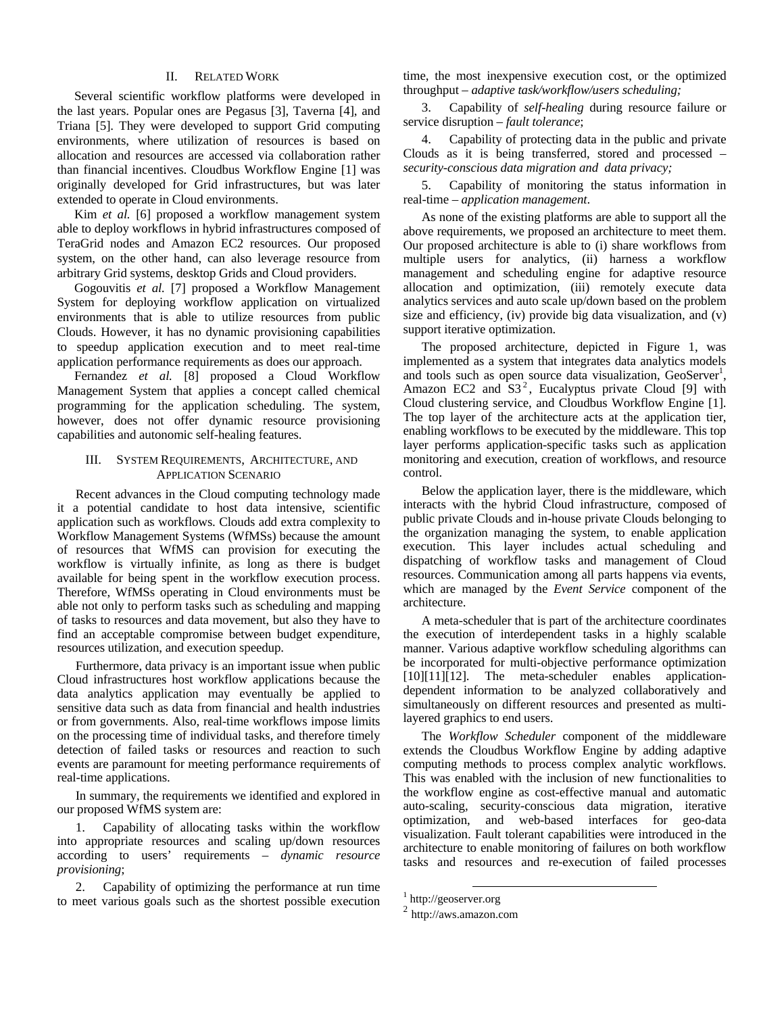### II. RELATED WORK

Several scientific workflow platforms were developed in the last years. Popular ones are Pegasus [3], Taverna [4], and Triana [5]. They were developed to support Grid computing environments, where utilization of resources is based on allocation and resources are accessed via collaboration rather than financial incentives. Cloudbus Workflow Engine [1] was originally developed for Grid infrastructures, but was later extended to operate in Cloud environments.

Kim *et al.* [6] proposed a workflow management system able to deploy workflows in hybrid infrastructures composed of TeraGrid nodes and Amazon EC2 resources. Our proposed system, on the other hand, can also leverage resource from arbitrary Grid systems, desktop Grids and Cloud providers.

Gogouvitis *et al.* [7] proposed a Workflow Management System for deploying workflow application on virtualized environments that is able to utilize resources from public Clouds. However, it has no dynamic provisioning capabilities to speedup application execution and to meet real-time application performance requirements as does our approach.

Fernandez *et al.* [8] proposed a Cloud Workflow Management System that applies a concept called chemical programming for the application scheduling. The system, however, does not offer dynamic resource provisioning capabilities and autonomic self-healing features.

## III. SYSTEM REQUIREMENTS, ARCHITECTURE, AND APPLICATION SCENARIO

Recent advances in the Cloud computing technology made it a potential candidate to host data intensive, scientific application such as workflows. Clouds add extra complexity to Workflow Management Systems (WfMSs) because the amount of resources that WfMS can provision for executing the workflow is virtually infinite, as long as there is budget available for being spent in the workflow execution process. Therefore, WfMSs operating in Cloud environments must be able not only to perform tasks such as scheduling and mapping of tasks to resources and data movement, but also they have to find an acceptable compromise between budget expenditure, resources utilization, and execution speedup.

Furthermore, data privacy is an important issue when public Cloud infrastructures host workflow applications because the data analytics application may eventually be applied to sensitive data such as data from financial and health industries or from governments. Also, real-time workflows impose limits on the processing time of individual tasks, and therefore timely detection of failed tasks or resources and reaction to such events are paramount for meeting performance requirements of real-time applications.

In summary, the requirements we identified and explored in our proposed WfMS system are:

1. Capability of allocating tasks within the workflow into appropriate resources and scaling up/down resources according to users' requirements – *dynamic resource provisioning*;

2. Capability of optimizing the performance at run time to meet various goals such as the shortest possible execution

time, the most inexpensive execution cost, or the optimized throughput – *adaptive task/workflow/users scheduling;*

3. Capability of *self-healing* during resource failure or service disruption – *fault tolerance*;

4. Capability of protecting data in the public and private Clouds as it is being transferred, stored and processed – *security-conscious data migration and data privacy;*

5. Capability of monitoring the status information in real-time – *application management*.

As none of the existing platforms are able to support all the above requirements, we proposed an architecture to meet them. Our proposed architecture is able to (i) share workflows from multiple users for analytics, (ii) harness a workflow management and scheduling engine for adaptive resource allocation and optimization, (iii) remotely execute data analytics services and auto scale up/down based on the problem size and efficiency, (iv) provide big data visualization, and (v) support iterative optimization.

The proposed architecture, depicted in Figure 1, was implemented as a system that integrates data analytics models and tools such as open source data visualization, GeoServer<sup>1</sup>, Amazon EC2 and  $S3<sup>2</sup>$ , Eucalyptus private Cloud [9] with Cloud clustering service, and Cloudbus Workflow Engine [1]. The top layer of the architecture acts at the application tier, enabling workflows to be executed by the middleware. This top layer performs application-specific tasks such as application monitoring and execution, creation of workflows, and resource control.

Below the application layer, there is the middleware, which interacts with the hybrid Cloud infrastructure, composed of public private Clouds and in-house private Clouds belonging to the organization managing the system, to enable application execution. This layer includes actual scheduling and dispatching of workflow tasks and management of Cloud resources. Communication among all parts happens via events, which are managed by the *Event Service* component of the architecture.

A meta-scheduler that is part of the architecture coordinates the execution of interdependent tasks in a highly scalable manner. Various adaptive workflow scheduling algorithms can be incorporated for multi-objective performance optimization [10][11][12]. The meta-scheduler enables applicationdependent information to be analyzed collaboratively and simultaneously on different resources and presented as multilayered graphics to end users.

The *Workflow Scheduler* component of the middleware extends the Cloudbus Workflow Engine by adding adaptive computing methods to process complex analytic workflows. This was enabled with the inclusion of new functionalities to the workflow engine as cost-effective manual and automatic auto-scaling, security-conscious data migration, iterative optimization, and web-based interfaces for geo-data visualization. Fault tolerant capabilities were introduced in the architecture to enable monitoring of failures on both workflow tasks and resources and re-execution of failed processes

 <sup>1</sup> http://geoserver.org

<sup>2</sup> http://aws.amazon.com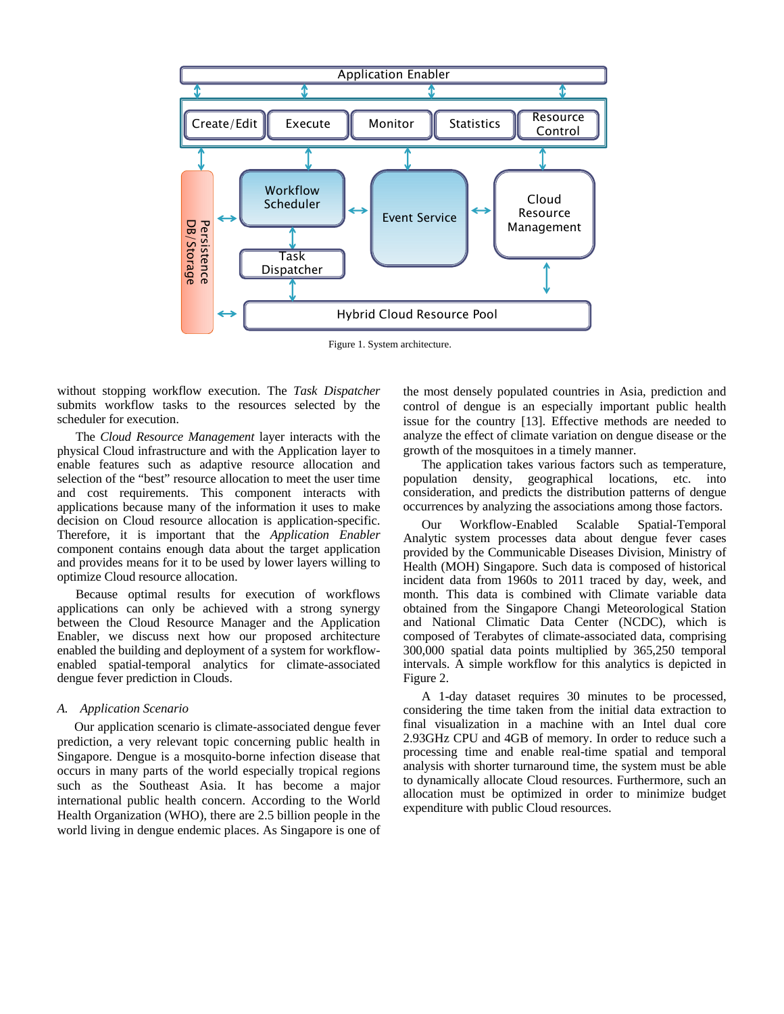

Figure 1. System architecture.

without stopping workflow execution. The *Task Dispatcher*  submits workflow tasks to the resources selected by the scheduler for execution.

The *Cloud Resource Management* layer interacts with the physical Cloud infrastructure and with the Application layer to enable features such as adaptive resource allocation and selection of the "best" resource allocation to meet the user time and cost requirements. This component interacts with applications because many of the information it uses to make decision on Cloud resource allocation is application-specific. Therefore, it is important that the *Application Enabler*  component contains enough data about the target application and provides means for it to be used by lower layers willing to optimize Cloud resource allocation.

Because optimal results for execution of workflows applications can only be achieved with a strong synergy between the Cloud Resource Manager and the Application Enabler, we discuss next how our proposed architecture enabled the building and deployment of a system for workflowenabled spatial-temporal analytics for climate-associated dengue fever prediction in Clouds.

#### *A. Application Scenario*

Our application scenario is climate-associated dengue fever prediction, a very relevant topic concerning public health in Singapore. Dengue is a mosquito-borne infection disease that occurs in many parts of the world especially tropical regions such as the Southeast Asia. It has become a major international public health concern. According to the World Health Organization (WHO), there are 2.5 billion people in the world living in dengue endemic places. As Singapore is one of the most densely populated countries in Asia, prediction and control of dengue is an especially important public health issue for the country [13]. Effective methods are needed to analyze the effect of climate variation on dengue disease or the growth of the mosquitoes in a timely manner.

The application takes various factors such as temperature, population density, geographical locations, etc. into consideration, and predicts the distribution patterns of dengue occurrences by analyzing the associations among those factors.

Our Workflow-Enabled Scalable Spatial-Temporal Analytic system processes data about dengue fever cases provided by the Communicable Diseases Division, Ministry of Health (MOH) Singapore. Such data is composed of historical incident data from 1960s to 2011 traced by day, week, and month. This data is combined with Climate variable data obtained from the Singapore Changi Meteorological Station and National Climatic Data Center (NCDC), which is composed of Terabytes of climate-associated data, comprising 300,000 spatial data points multiplied by 365,250 temporal intervals. A simple workflow for this analytics is depicted in Figure 2.

A 1-day dataset requires 30 minutes to be processed, considering the time taken from the initial data extraction to final visualization in a machine with an Intel dual core 2.93GHz CPU and 4GB of memory. In order to reduce such a processing time and enable real-time spatial and temporal analysis with shorter turnaround time, the system must be able to dynamically allocate Cloud resources. Furthermore, such an allocation must be optimized in order to minimize budget expenditure with public Cloud resources.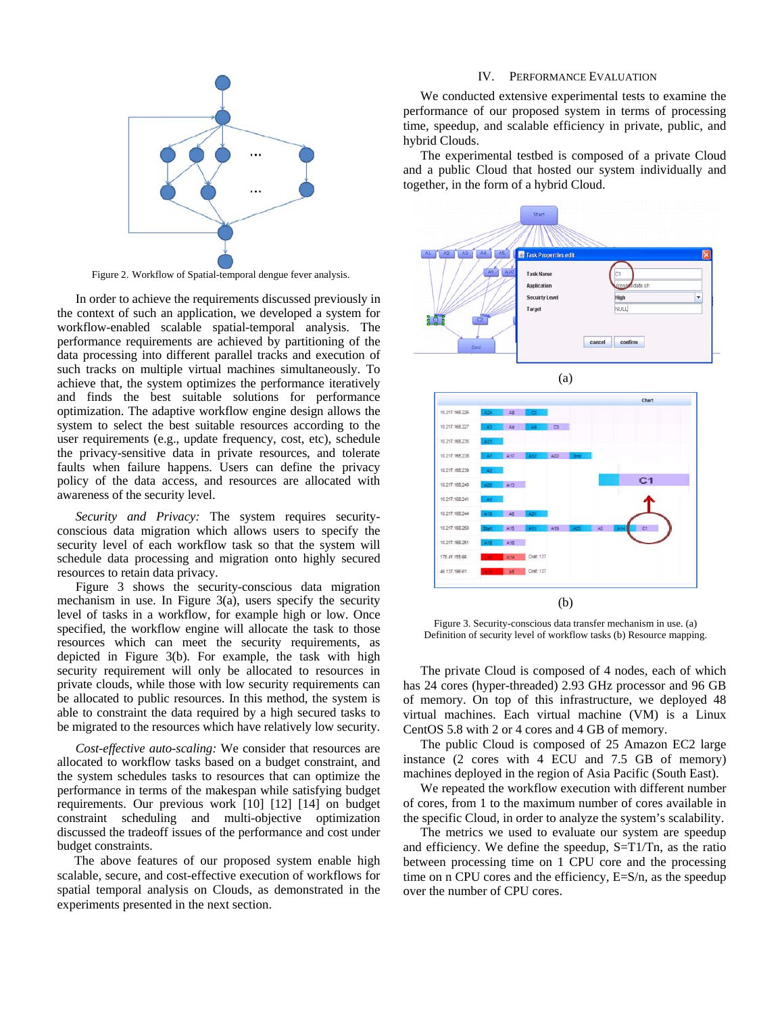

Figure 2. Workflow of Spatial-temporal dengue fever analysis.

In order to achieve the requirements discussed previously in the context of such an application, we developed a system for workflow-enabled scalable spatial-temporal analysis. The performance requirements are achieved by partitioning of the data processing into different parallel tracks and execution of such tracks on multiple virtual machines simultaneously. To achieve that, the system optimizes the performance iteratively and finds the best suitable solutions for performance optimization. The adaptive workflow engine design allows the system to select the best suitable resources according to the user requirements (e.g., update frequency, cost, etc), schedule the privacy-sensitive data in private resources, and tolerate faults when failure happens. Users can define the privacy policy of the data access, and resources are allocated with awareness of the security level.

*Security and Privacy:* The system requires securityconscious data migration which allows users to specify the security level of each workflow task so that the system will schedule data processing and migration onto highly secured resources to retain data privacy.

Figure 3 shows the security-conscious data migration mechanism in use. In Figure 3(a), users specify the security level of tasks in a workflow, for example high or low. Once specified, the workflow engine will allocate the task to those resources which can meet the security requirements, as depicted in Figure 3(b). For example, the task with high security requirement will only be allocated to resources in private clouds, while those with low security requirements can be allocated to public resources. In this method, the system is able to constraint the data required by a high secured tasks to be migrated to the resources which have relatively low security.

*Cost-effective auto-scaling:* We consider that resources are allocated to workflow tasks based on a budget constraint, and the system schedules tasks to resources that can optimize the performance in terms of the makespan while satisfying budget requirements. Our previous work [10] [12] [14] on budget constraint scheduling and multi-objective optimization discussed the tradeoff issues of the performance and cost under budget constraints.

The above features of our proposed system enable high scalable, secure, and cost-effective execution of workflows for spatial temporal analysis on Clouds, as demonstrated in the experiments presented in the next section.

#### IV. PERFORMANCE EVALUATION

We conducted extensive experimental tests to examine the performance of our proposed system in terms of processing time, speedup, and scalable efficiency in private, public, and hybrid Clouds.

The experimental testbed is composed of a private Cloud and a public Cloud that hosted our system individually and together, in the form of a hybrid Cloud.



(a)



Figure 3. Security-conscious data transfer mechanism in use. (a) Definition of security level of workflow tasks (b) Resource mapping.

The private Cloud is composed of 4 nodes, each of which has 24 cores (hyper-threaded) 2.93 GHz processor and 96 GB of memory. On top of this infrastructure, we deployed 48 virtual machines. Each virtual machine (VM) is a Linux CentOS 5.8 with 2 or 4 cores and 4 GB of memory.

The public Cloud is composed of 25 Amazon EC2 large instance (2 cores with 4 ECU and 7.5 GB of memory) machines deployed in the region of Asia Pacific (South East).

We repeated the workflow execution with different number of cores, from 1 to the maximum number of cores available in the specific Cloud, in order to analyze the system's scalability.

The metrics we used to evaluate our system are speedup and efficiency. We define the speedup, S=T1/Tn, as the ratio between processing time on 1 CPU core and the processing time on n CPU cores and the efficiency, E=S/n, as the speedup over the number of CPU cores.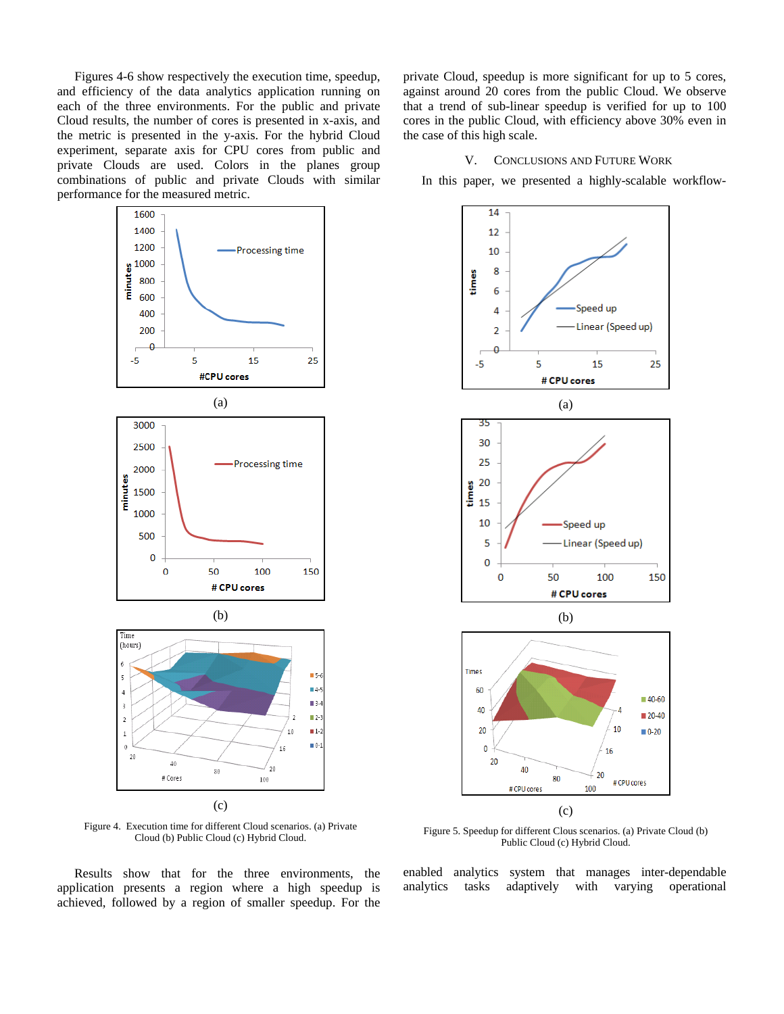Figures 4-6 show respectively the execution time, speedup, and efficiency of the data analytics application running on each of the three environments. For the public and private Cloud results, the number of cores is presented in x-axis, and the metric is presented in the y-axis. For the hybrid Cloud experiment, separate axis for CPU cores from public and private Clouds are used. Colors in the planes group combinations of public and private Clouds with similar performance for the measured metric.



(c)

Figure 4. Execution time for different Cloud scenarios. (a) Private Cloud (b) Public Cloud (c) Hybrid Cloud.

Results show that for the three environments, the application presents a region where a high speedup is achieved, followed by a region of smaller speedup. For the

private Cloud, speedup is more significant for up to 5 cores, against around 20 cores from the public Cloud. We observe that a trend of sub-linear speedup is verified for up to 100 cores in the public Cloud, with efficiency above 30% even in the case of this high scale.

## V. CONCLUSIONS AND FUTURE WORK

In this paper, we presented a highly-scalable workflow-



Figure 5. Speedup for different Clous scenarios. (a) Private Cloud (b) Public Cloud (c) Hybrid Cloud.

enabled analytics system that manages inter-dependable analytics tasks adaptively with varying operational